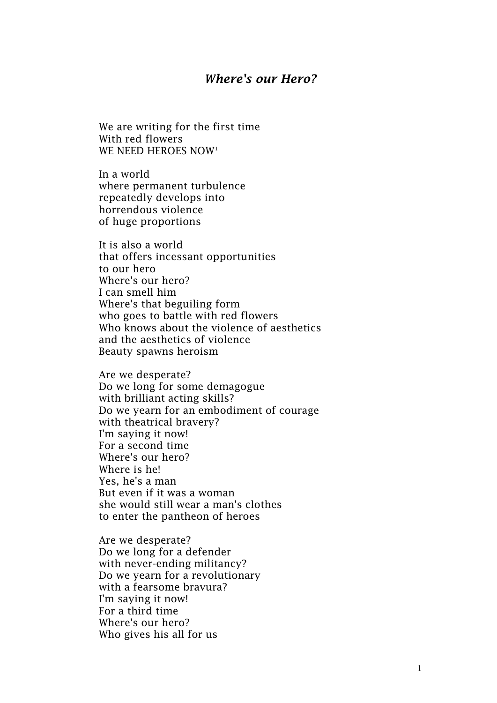## *Where's our Hero?*

We are writing for the first time With red flowers WE NEED HEROES NOW[1](#page-4-0)

In a world where permanent turbulence repeatedly develops into horrendous violence of huge proportions

It is also a world that offers incessant opportunities to our hero Where's our hero? I can smell him Where's that beguiling form who goes to battle with red flowers Who knows about the violence of aesthetics and the aesthetics of violence Beauty spawns heroism

Are we desperate? Do we long for some demagogue with brilliant acting skills? Do we yearn for an embodiment of courage with theatrical bravery? I'm saying it now! For a second time Where's our hero? Where is he! Yes, he's a man But even if it was a woman she would still wear a man's clothes to enter the pantheon of heroes

Are we desperate? Do we long for a defender with never-ending militancy? Do we yearn for a revolutionary with a fearsome bravura? I'm saying it now! For a third time Where's our hero? Who gives his all for us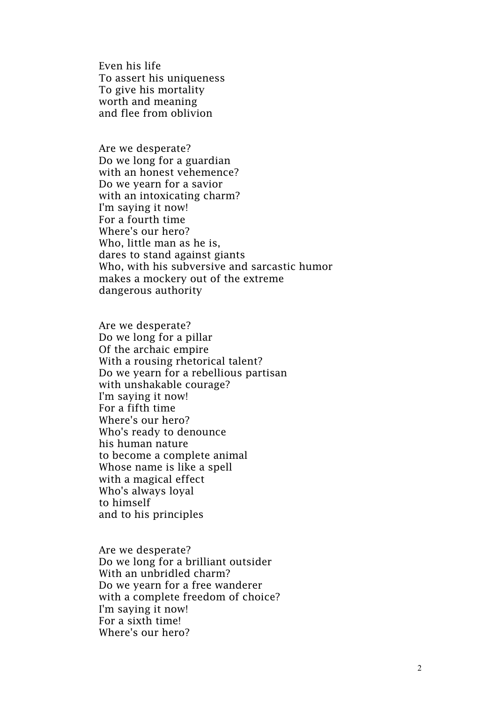Even his life To assert his uniqueness To give his mortality worth and meaning and flee from oblivion

Are we desperate? Do we long for a guardian with an honest vehemence? Do we yearn for a savior with an intoxicating charm? I'm saying it now! For a fourth time Where's our hero? Who, little man as he is, dares to stand against giants Who, with his subversive and sarcastic humor makes a mockery out of the extreme dangerous authority

Are we desperate? Do we long for a pillar Of the archaic empire With a rousing rhetorical talent? Do we yearn for a rebellious partisan with unshakable courage? I'm saying it now! For a fifth time Where's our hero? Who's ready to denounce his human nature to become a complete animal Whose name is like a spell with a magical effect Who's always loyal to himself and to his principles

Are we desperate? Do we long for a brilliant outsider With an unbridled charm? Do we yearn for a free wanderer with a complete freedom of choice? I'm saying it now! For a sixth time! Where's our hero?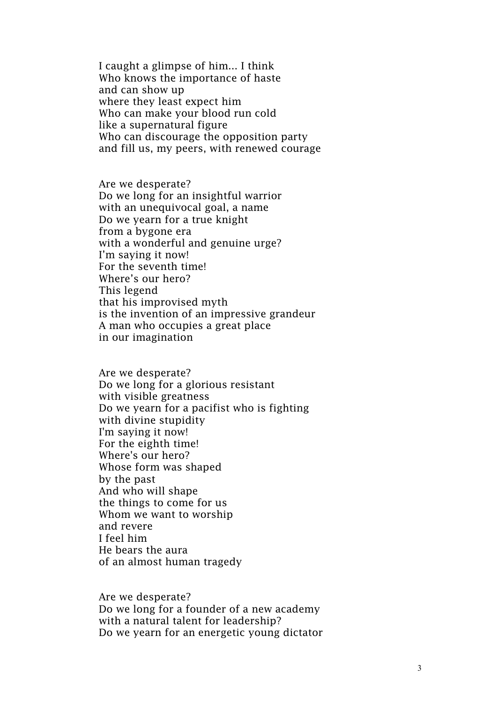I caught a glimpse of him... I think Who knows the importance of haste and can show up where they least expect him Who can make your blood run cold like a supernatural figure Who can discourage the opposition party and fill us, my peers, with renewed courage

Are we desperate? Do we long for an insightful warrior with an unequivocal goal, a name Do we yearn for a true knight from a bygone era with a wonderful and genuine urge? I'm saying it now! For the seventh time! Where's our hero? This legend that his improvised myth is the invention of an impressive grandeur A man who occupies a great place in our imagination

Are we desperate? Do we long for a glorious resistant with visible greatness Do we yearn for a pacifist who is fighting with divine stupidity I'm saying it now! For the eighth time! Where's our hero? Whose form was shaped by the past And who will shape the things to come for us Whom we want to worship and revere I feel him He bears the aura of an almost human tragedy

Are we desperate? Do we long for a founder of a new academy with a natural talent for leadership? Do we yearn for an energetic young dictator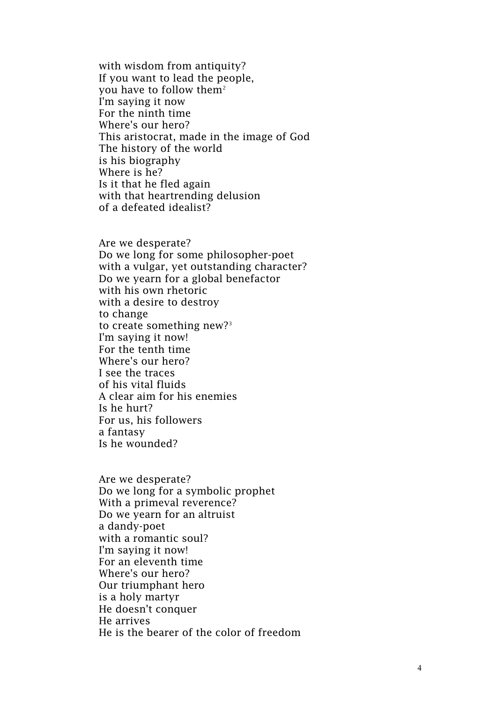with wisdom from antiquity? If you want to lead the people, you have to follow them $^{\scriptscriptstyle 2}$  $^{\scriptscriptstyle 2}$  $^{\scriptscriptstyle 2}$ I'm saying it now For the ninth time Where's our hero? This aristocrat, made in the image of God The history of the world is his biography Where is he? Is it that he fled again with that heartrending delusion of a defeated idealist?

Are we desperate? Do we long for some philosopher -poet with a vulgar, yet outstanding character? Do we yearn for a global benefactor with his own rhetoric with a desire to destroy to change to create something new? [3](#page-4-2) I'm saying it now! For the tenth time Where's our hero? I see the traces of his vital fluids A clear aim for his enemies Is he hurt? For us, his followers a fantasy Is he wounded?

Are we desperate? Do we long for a symbolic prophet With a primeval reverence? Do we yearn for an altruist a dandy -poet with a romantic soul? I'm saying it now! For an eleventh time Where's our hero? Our triumphant hero is a holy martyr He doesn't conquer He arrives He is the bearer of the color of freedom